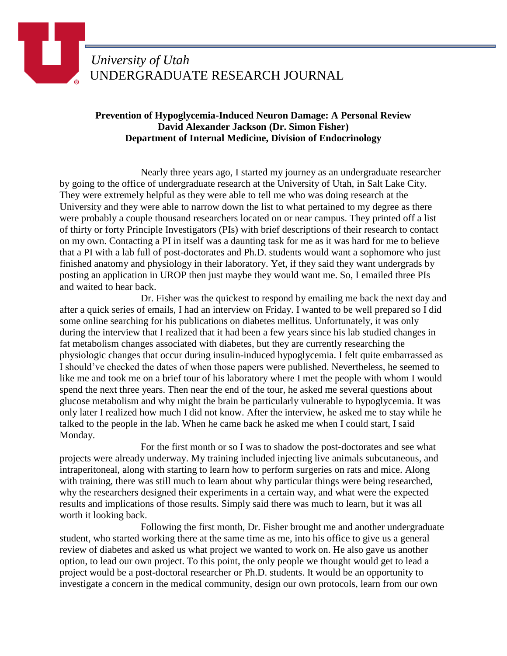## **Prevention of Hypoglycemia-Induced Neuron Damage: A Personal Review David Alexander Jackson (Dr. Simon Fisher) Department of Internal Medicine, Division of Endocrinology**

Nearly three years ago, I started my journey as an undergraduate researcher by going to the office of undergraduate research at the University of Utah, in Salt Lake City. They were extremely helpful as they were able to tell me who was doing research at the University and they were able to narrow down the list to what pertained to my degree as there were probably a couple thousand researchers located on or near campus. They printed off a list of thirty or forty Principle Investigators (PIs) with brief descriptions of their research to contact on my own. Contacting a PI in itself was a daunting task for me as it was hard for me to believe that a PI with a lab full of post-doctorates and Ph.D. students would want a sophomore who just finished anatomy and physiology in their laboratory. Yet, if they said they want undergrads by posting an application in UROP then just maybe they would want me. So, I emailed three PIs and waited to hear back.

Dr. Fisher was the quickest to respond by emailing me back the next day and after a quick series of emails, I had an interview on Friday. I wanted to be well prepared so I did some online searching for his publications on diabetes mellitus. Unfortunately, it was only during the interview that I realized that it had been a few years since his lab studied changes in fat metabolism changes associated with diabetes, but they are currently researching the physiologic changes that occur during insulin-induced hypoglycemia. I felt quite embarrassed as I should've checked the dates of when those papers were published. Nevertheless, he seemed to like me and took me on a brief tour of his laboratory where I met the people with whom I would spend the next three years. Then near the end of the tour, he asked me several questions about glucose metabolism and why might the brain be particularly vulnerable to hypoglycemia. It was only later I realized how much I did not know. After the interview, he asked me to stay while he talked to the people in the lab. When he came back he asked me when I could start, I said Monday.

For the first month or so I was to shadow the post-doctorates and see what projects were already underway. My training included injecting live animals subcutaneous, and intraperitoneal, along with starting to learn how to perform surgeries on rats and mice. Along with training, there was still much to learn about why particular things were being researched, why the researchers designed their experiments in a certain way, and what were the expected results and implications of those results. Simply said there was much to learn, but it was all worth it looking back.

Following the first month, Dr. Fisher brought me and another undergraduate student, who started working there at the same time as me, into his office to give us a general review of diabetes and asked us what project we wanted to work on. He also gave us another option, to lead our own project. To this point, the only people we thought would get to lead a project would be a post-doctoral researcher or Ph.D. students. It would be an opportunity to investigate a concern in the medical community, design our own protocols, learn from our own